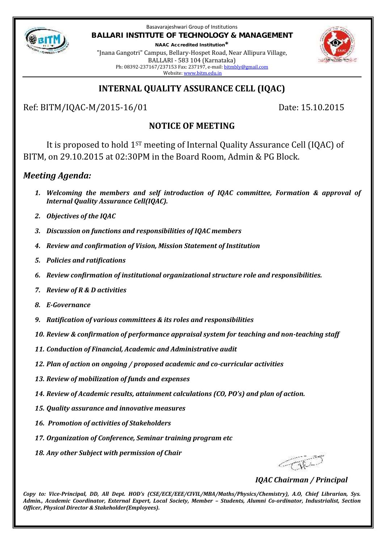

Basavarajeshwari Group of Institutions **BALLARI INSTITUTE OF TECHNOLOGY & MANAGEMENT**

**NAAC Accredited Institution\*** "Jnana Gangotri" Campus, Bellary-Hospet Road, Near Allipura Village, BALLARI - 583 104 (Karnataka) Ph: 08392-237167/237153 Fax: 237197, e-mail: bitmbly@gmail.com Website: www.bitm.edu.in



# **INTERNAL QUALITY ASSURANCE CELL (IQAC)**

Ref: BITM/IQAC-M/2015-16/01 Date: 15.10.2015

# **NOTICE OF MEETING**

It is proposed to hold 1ST meeting of Internal Quality Assurance Cell (IQAC) of BITM, on 29.10.2015 at 02:30PM in the Board Room, Admin & PG Block.

## *Meeting Agenda:*

- *1. Welcoming the members and self introduction of IQAC committee, Formation & approval of Internal Quality Assurance Cell(IQAC).*
- *2. Objectives of the IQAC*
- *3. Discussion on functions and responsibilities of IQAC members*
- *4. Review and confirmation of Vision, Mission Statement of Institution*
- *5. Policies and ratifications*
- *6. Review confirmation of institutional organizational structure role and responsibilities.*
- *7. Review of R & D activities*
- *8. E-Governance*
- *9. Ratification of various committees & its roles and responsibilities*
- *10. Review & confirmation of performance appraisal system for teaching and non-teaching staff*
- *11. Conduction of Financial, Academic and Administrative audit*
- *12. Plan of action on ongoing / proposed academic and co-curricular activities*
- *13. Review of mobilization of funds and expenses*
- *14. Review of Academic results, attainment calculations (CO, PO's) and plan of action.*
- *15. Quality assurance and innovative measures*
- *16. Promotion of activities of Stakeholders*
- *17. Organization of Conference, Seminar training program etc*
- *18. Any other Subject with permission of Chair*

*IQAC Chairman / Principal*

*Copy to: Vice-Principal, DD, All Dept. HOD's (CSE/ECE/EEE/CIVIL/MBA/Maths/Physics/Chemistry), A.O, Chief Librarian, Sys. Admin., Academic Coordinator, External Expert, Local Society, Member – Students, Alumni Co-ordinator, Industrialist, Section Officer, Physical Director & Stakeholder(Employees).*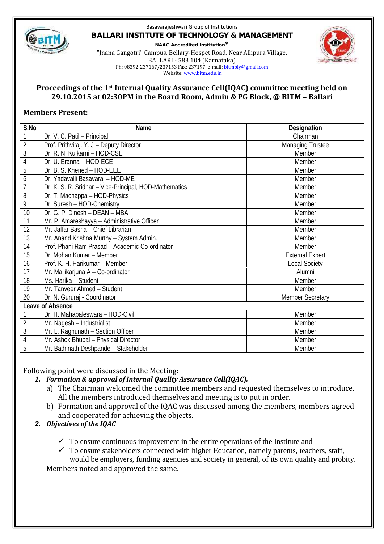

#### Basavarajeshwari Group of Institutions **BALLARI INSTITUTE OF TECHNOLOGY & MANAGEMENT NAAC Accredited Institution\*** "Jnana Gangotri" Campus, Bellary-Hospet Road, Near Allipura Village, BALLARI - 583 104 (Karnataka) Ph: 08392-237167/237153 Fax: 237197, e-mail: bitmbly@gmail.com



Website: www.bitm.edu.in

### **Proceedings of the 1st Internal Quality Assurance Cell(IQAC) committee meeting held on 29.10.2015 at 02:30PM in the Board Room, Admin & PG Block, @ BITM – Ballari**

## **Members Present:**

| S.No           | Name                                                   | Designation             |  |  |  |
|----------------|--------------------------------------------------------|-------------------------|--|--|--|
| 1              | Dr. V. C. Patil - Principal                            | Chairman                |  |  |  |
| $\overline{c}$ | Prof. Prithviraj. Y. J - Deputy Director               | <b>Managing Trustee</b> |  |  |  |
| 3              | Dr. R. N. Kulkarni - HOD-CSE                           | Member                  |  |  |  |
| 4              | Dr. U. Eranna - HOD-ECE                                | Member                  |  |  |  |
| 5              | Dr. B. S. Khened - HOD-EEE                             | Member                  |  |  |  |
| 6              | Dr. Yadavalli Basavaraj - HOD-ME                       | Member                  |  |  |  |
| $\overline{1}$ | Dr. K. S. R. Sridhar - Vice-Principal, HOD-Mathematics | Member                  |  |  |  |
| 8              | Dr. T. Machappa - HOD-Physics                          | Member                  |  |  |  |
| 9              | Dr. Suresh - HOD-Chemistry                             | Member                  |  |  |  |
| 10             | Dr. G. P. Dinesh - DEAN - MBA                          | Member                  |  |  |  |
| 11             | Mr. P. Amareshayya - Administrative Officer            | Member                  |  |  |  |
| 12             | Mr. Jaffar Basha - Chief Librarian                     | Member                  |  |  |  |
| 13             | Mr. Anand Krishna Murthy - System Admin.               | Member                  |  |  |  |
| 14             | Prof. Phani Ram Prasad - Academic Co-ordinator         | Member                  |  |  |  |
| 15             | Dr. Mohan Kumar - Member                               | <b>External Expert</b>  |  |  |  |
| 16             | Prof. K. H. Harikumar - Member                         | <b>Local Society</b>    |  |  |  |
| 17             | Mr. Mallikarjuna A - Co-ordinator                      | Alumni                  |  |  |  |
| 18             | Ms. Harika - Student                                   | Member                  |  |  |  |
| 19             | Mr. Tanveer Ahmed - Student                            | Member                  |  |  |  |
| 20             | Dr. N. Gururaj - Coordinator                           | <b>Member Secretary</b> |  |  |  |
|                | Leave of Absence                                       |                         |  |  |  |
|                | Dr. H. Mahabaleswara - HOD-Civil                       | Member                  |  |  |  |
| $\overline{2}$ | Mr. Nagesh - Industrialist                             | Member                  |  |  |  |
| $\overline{3}$ | Mr. L. Raghunath - Section Officer                     | Member                  |  |  |  |
| 4              | Mr. Ashok Bhupal - Physical Director                   | Member                  |  |  |  |
| 5              | Mr. Badrinath Deshpande - Stakeholder                  | Member                  |  |  |  |

Following point were discussed in the Meeting:

- *1. Formation & approval of Internal Quality Assurance Cell(IQAC).*
	- a) The Chairman welcomed the committee members and requested themselves to introduce. All the members introduced themselves and meeting is to put in order.
	- b) Formation and approval of the IQAC was discussed among the members, members agreed and cooperated for achieving the objects.
- *2. Objectives of the IQAC*
	- $\checkmark$  To ensure continuous improvement in the entire operations of the Institute and
	- $\checkmark$  To ensure stakeholders connected with higher Education, namely parents, teachers, staff, would be employers, funding agencies and society in general, of its own quality and probity.

Members noted and approved the same.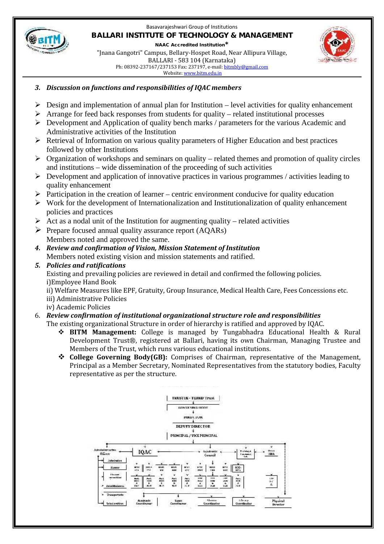

#### Basavarajeshwari Group of Institutions **BALLARI INSTITUTE OF TECHNOLOGY & MANAGEMENT NAAC Accredited Institution\*** "Jnana Gangotri" Campus, Bellary-Hospet Road, Near Allipura Village, BALLARI - 583 104 (Karnataka)

Ph: 08392-237167/237153 Fax: 237197, e-mail: bitmbly@gmail.com Website: www.bitm.edu.in



### *3. Discussion on functions and responsibilities of IQAC members*

- $\triangleright$  Design and implementation of annual plan for Institution level activities for quality enhancement
- $\triangleright$  Arrange for feed back responses from students for quality related institutional processes
- $\triangleright$  Development and Application of quality bench marks / parameters for the various Academic and Administrative activities of the Institution
- $\triangleright$  Retrieval of Information on various quality parameters of Higher Education and best practices followed by other Institutions
- $\triangleright$  Organization of workshops and seminars on quality related themes and promotion of quality circles and institutions – wide dissemination of the proceeding of such activities
- $\triangleright$  Development and application of innovative practices in various programmes / activities leading to quality enhancement
- $\triangleright$  Participation in the creation of learner centric environment conducive for quality education
- $\triangleright$  Work for the development of Internationalization and Institutionalization of quality enhancement policies and practices
- $\triangleright$  Act as a nodal unit of the Institution for augmenting quality related activities
- $\triangleright$  Prepare focused annual quality assurance report (AQARs) Members noted and approved the same.
- *4. Review and confirmation of Vision, Mission Statement of Institution* Members noted existing vision and mission statements and ratified.
- *5. Policies and ratifications*

Existing and prevailing policies are reviewed in detail and confirmed the following policies. i)Employee Hand Book

ii) Welfare Measures like EPF, Gratuity, Group Insurance, Medical Health Care, Fees Concessions etc.

- iii) Administrative Policies
- iv) Academic Policies

### 6. *Review confirmation of institutional organizational structure role and responsibilities*

The existing organizational Structure in order of hierarchy is ratified and approved by IQAC.

- **BITM Management:** College is managed by Tungabhadra Educational Health & Rural Development Trust®, registered at Ballari, having its own Chairman, Managing Trustee and Members of the Trust, which runs various educational institutions.
- **College Governing Body(GB):** Comprises of Chairman, representative of the Management, Principal as a Member Secretary, Nominated Representatives from the statutory bodies, Faculty representative as per the structure.

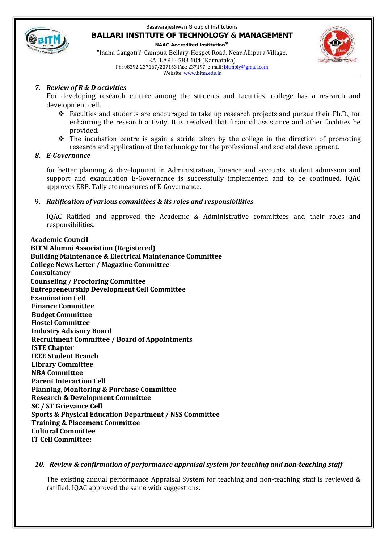

#### Basavarajeshwari Group of Institutions **BALLARI INSTITUTE OF TECHNOLOGY & MANAGEMENT NAAC Accredited Institution\*** "Jnana Gangotri" Campus, Bellary-Hospet Road, Near Allipura Village, BALLARI - 583 104 (Karnataka)

Ph: 08392-237167/237153 Fax: 237197, e-mail: bitmbly@gmail.com Website: www.bitm.edu.in



#### *7. Review of R & D activities*

For developing research culture among the students and faculties, college has a research and development cell.

- $\div$  Faculties and students are encouraged to take up research projects and pursue their Ph.D., for enhancing the research activity. It is resolved that financial assistance and other facilities be provided.
- $\cdot \cdot$  The incubation centre is again a stride taken by the college in the direction of promoting research and application of the technology for the professional and societal development.

#### *8. E-Governance*

for better planning & development in Administration, Finance and accounts, student admission and support and examination E-Governance is successfully implemented and to be continued. IQAC approves ERP, Tally etc measures of E-Governance.

#### 9. *Ratification of various committees & its roles and responsibilities*

IQAC Ratified and approved the Academic & Administrative committees and their roles and responsibilities.

**2. Academic Council 3. BITM Alumni Association (Registered) 4. Building Maintenance & Electrical Maintenance Committee 5. College News Letter / Magazine Committee 6. Consultancy 7. Counseling / Proctoring Committee 8. Entrepreneurship Development Cell Committee 9. Examination Cell 10Finance Committee 11Budget Committee 12Hostel Committee 13Industry Advisory Board 14Recruitment Committee / Board of Appointments 15ISTE Chapter 16IEEE Student Branch 17Library Committee NBA Committee Parent Interaction Cell 20Planning, Monitoring & Purchase Committee 21Research & Development Committee 22SC / ST Grievance Cell 23Sports & Physical Education Department / NSS Committee 24Training & Placement Committee 25Cultural Committee 26IT Cell Committee:**

#### *10. Review & confirmation of performance appraisal system for teaching and non-teaching staff*

The existing annual performance Appraisal System for teaching and non-teaching staff is reviewed & ratified. IQAC approved the same with suggestions.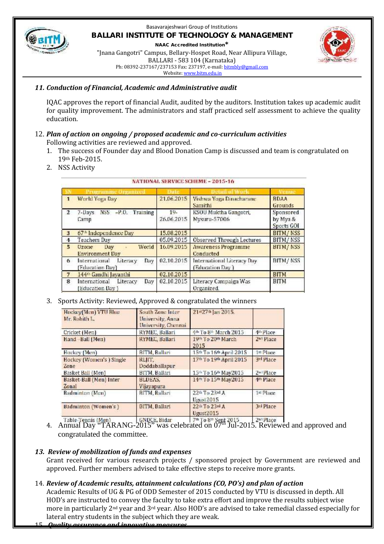

#### Basavarajeshwari Group of Institutions **BALLARI INSTITUTE OF TECHNOLOGY & MANAGEMENT NAAC Accredited Institution\***

"Jnana Gangotri" Campus, Bellary-Hospet Road, Near Allipura Village, BALLARI - 583 104 (Karnataka) Ph: 08392-237167/237153 Fax: 237197, e-mail: bitmbly@gmail.com Website: www.bitm.edu.in



#### *11. Conduction of Financial, Academic and Administrative audit*

IQAC approves the report of financial Audit, audited by the auditors. Institution takes up academic audit for quality improvement. The administrators and staff practiced self assessment to achieve the quality education.

# 12. *Plan of action on ongoing / proposed academic and co-curriculum activities*

Following activities are reviewed and approved.

- 1. The success of Founder day and Blood Donation Camp is discussed and team is congratulated on 19th Feb-2015.
- 2. NSS Activity

|        | neramme Oranane                                        |                      |                                                |                                     |
|--------|--------------------------------------------------------|----------------------|------------------------------------------------|-------------------------------------|
|        | World Yoga Day                                         | 21.06.2015           | Vishwa Yoga Dinacharanc<br>Samithi             | <b>BDAA</b><br>Grounds              |
|        | $NSS$ $-P.O.$ Training<br>7-Days<br>Camp               | $19 -$<br>26.06.2015 | KSOU Muktha Gangotri,<br>Mysuru-57006          | Sponsored<br>by Mya &<br>Sports GOI |
| $_{3}$ | 67 <sup>th</sup> Independence Day                      | 15.08.2015           |                                                | <b>BITM/NSS</b>                     |
|        | Teachers Day                                           | 05.09.2015           | Observed Through Lectures                      | BITM/NSS                            |
| 5      | World<br><b>Uzone</b><br>Day<br><b>Environment Day</b> | 16.09.2015           | <b>Awareness Programme</b><br>Conducted        | <b>BITM/NSS</b>                     |
| 6      | Literacy<br>Day<br>International<br>(Education Day)    | 02.10.2015           | International Literacy Day.<br>(Education Day) | <b>BITM/NSS</b>                     |
|        | 144th Gandhi Jayanthi                                  | 02.10.2015           |                                                | <b>BITM</b>                         |
| 8      | International<br>Literacy<br>Day<br>(Education Day)    | 02.10.2015           | Literacy Campaign Was<br>Organized.            | <b>BITM</b>                         |

#### **NATIONAL SEDVICE SCHEME \_ 2015.16**

#### 3. Sports Activity: Reviewed, Approved & congratulated the winners

| Hockey(Men) VTU Blue<br>Mr. Rohith L. | South Zone Inter-<br>University, Anna<br>University, Chennai | 21st27sh Jan 2015.                          |                                            |
|---------------------------------------|--------------------------------------------------------------|---------------------------------------------|--------------------------------------------|
| Cricket (Men)                         | RYMEC, Ballari                                               | <sup>本体</sup> To 8 <sup>th</sup> March 2015 | 4 <sup>th</sup> Place                      |
| Hand Ball (Men)                       | RYMEC, Ballari                                               | 19th To 20th March<br>2015                  | 2 <sup>n1</sup> Place                      |
| Hockey (Men)                          | BITM, Ballari                                                | 15th To 16th April 2015                     | $\left  \mathbf{z} \mathbf{t} \right $ ace |
| Hockey (Women's ) Single<br>Zone      | RLIIT.<br>Doddaballapur                                      | 17th To 19th April 2015                     | 3rd Place                                  |
| Basket Ball (Men)                     | BITM, Ballari                                                | 15th To 16th May2015                        | 2 <sup>a</sup> Place                       |
| Basket-Ball (Men) Inter<br>Zonal      | BLDEAS.<br>Vijavapura                                        | 14th To 15th May2015                        | 4 <sup>th</sup> Place                      |
| Badminton (Men)                       | <b>BITM, Ballari</b>                                         | 22th Tij 23rd A<br>Ugust 2015               | 1st Place                                  |
| Badminton (Women's)                   | BITM, Ballari                                                | 22th To 23rd A<br>Ugust2015                 | 3rd Place                                  |
|                                       |                                                              |                                             |                                            |

Table Tennis (Men) (GNDCE, Bidar 7<sup>th</sup> To 8<sup>th</sup> Sept 2015 2<sup>nd</sup> Place<br>4. Annual Day "TARANG-2015" was celebrated on 07<sup>th</sup> Jul-2015. Reviewed and approved and congratulated the committee.

#### *13. Review of mobilization of funds and expenses*

Grant received for various research projects / sponsored project by Government are reviewed and approved. Further members advised to take effective steps to receive more grants.

### 14. *Review of Academic results, attainment calculations (CO, PO's) and plan of action*

Academic Results of UG & PG of ODD Semester of 2015 conducted by VTU is discussed in depth. All HOD's are instructed to convey the faculty to take extra effort and improve the results subject wise more in particularly 2nd year and 3rd year. Also HOD's are advised to take remedial classed especially for lateral entry students in the subject which they are weak.

#### 15. *Quality assurance and innovative measures*